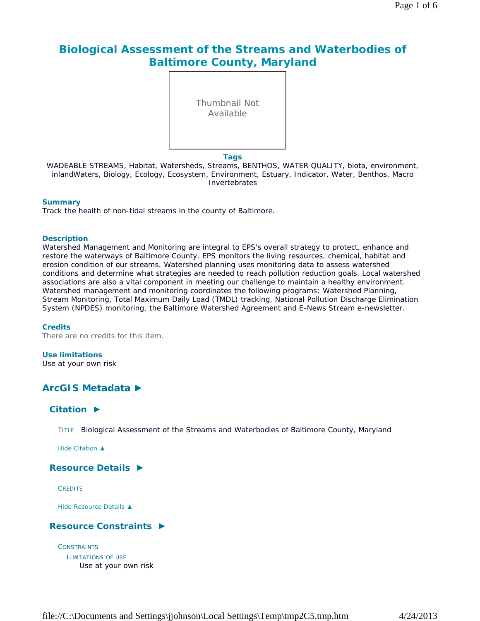# **Biological Assessment of the Streams and Waterbodies of Baltimore County, Maryland**



#### **Tags**

WADEABLE STREAMS, Habitat, Watersheds, Streams, BENTHOS, WATER QUALITY, biota, environment, inlandWaters, Biology, Ecology, Ecosystem, Environment, Estuary, Indicator, Water, Benthos, Macro Invertebrates

#### **Summary**

Track the health of non-tidal streams in the county of Baltimore.

#### **Description**

Watershed Management and Monitoring are integral to EPS's overall strategy to protect, enhance and restore the waterways of Baltimore County. EPS monitors the living resources, chemical, habitat and erosion condition of our streams. Watershed planning uses monitoring data to assess watershed conditions and determine what strategies are needed to reach pollution reduction goals. Local watershed associations are also a vital component in meeting our challenge to maintain a healthy environment. Watershed management and monitoring coordinates the following programs: Watershed Planning, Stream Monitoring, Total Maximum Daily Load (TMDL) tracking, National Pollution Discharge Elimination System (NPDES) monitoring, the Baltimore Watershed Agreement and E-News Stream e-newsletter.

#### **Credits**

There are no credits for this item.

### **Use limitations**

Use at your own risk

# **ArcGIS Metadata ►**

# **Citation ►**

TITLE Biological Assessment of the Streams and Waterbodies of Baltimore County, Maryland

*Hide Citation ▲*

### **Resource Details ►**

**CREDITS** 

*Hide Resource Details ▲*

### **Resource Constraints ►**

**CONSTRAINTS** LIMITATIONS OF USE Use at your own risk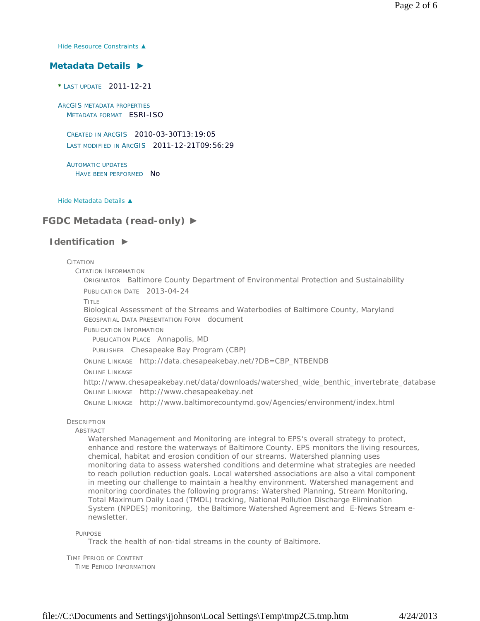*Hide Resource Constraints ▲*

### **Metadata Details ►**

**\*** LAST UPDATE 2011-12-21

ARCGIS METADATA PROPERTIES METADATA FORMAT ESRI-ISO

CREATED IN ARCGIS 2010-03-30T13:19:05 LAST MODIFIED IN ARCGIS 2011-12-21T09:56:29

AUTOMATIC UPDATES HAVE BEEN PERFORMED NO

*Hide Metadata Details ▲*

# **FGDC Metadata (read-only) ►**

### **Identification ►**

#### **CITATION**

CITATION INFORMATION

ORIGINATOR Baltimore County Department of Environmental Protection and Sustainability PUBLICATION DATE 2013-04-24

TITLE

Biological Assessment of the Streams and Waterbodies of Baltimore County, Maryland GEOSPATIAL DATA PRESENTATION FORM document

PUBLICATION INFORMATION

PUBLICATION PLACE Annapolis, MD

PUBLISHER Chesapeake Bay Program (CBP)

ONLINE LINKAGE http://data.chesapeakebay.net/?DB=CBP\_NTBENDB

ONLINE LINKAGE

http://www.chesapeakebay.net/data/downloads/watershed\_wide\_benthic\_invertebrate\_database ONLINE LINKAGE http://www.chesapeakebay.net

ONLINE LINKAGE http://www.baltimorecountymd.gov/Agencies/environment/index.html

### **DESCRIPTION**

#### **ABSTRACT**

Watershed Management and Monitoring are integral to EPS's overall strategy to protect, enhance and restore the waterways of Baltimore County. EPS monitors the living resources, chemical, habitat and erosion condition of our streams. Watershed planning uses monitoring data to assess watershed conditions and determine what strategies are needed to reach pollution reduction goals. Local watershed associations are also a vital component in meeting our challenge to maintain a healthy environment. Watershed management and monitoring coordinates the following programs: Watershed Planning, Stream Monitoring, Total Maximum Daily Load (TMDL) tracking, National Pollution Discharge Elimination System (NPDES) monitoring, the Baltimore Watershed Agreement and E-News Stream enewsletter.

PURPOSE

Track the health of non-tidal streams in the county of Baltimore.

TIME PERIOD OF CONTENT TIME PERIOD INFORMATION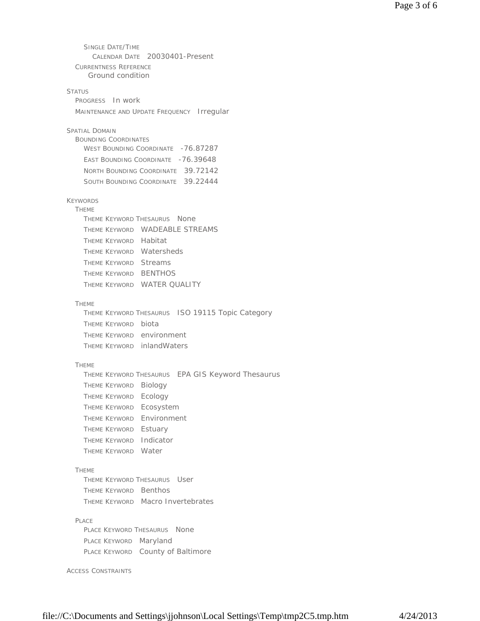SINGLE DATE/TIME CALENDAR DATE 20030401-Present CURRENTNESS REFERENCE **STATUS** PROGRESS In work MAINTENANCE AND UPDATE FREQUENCY Irregular SPATIAL DOMAIN BOUNDING COORDINATES WEST BOUNDING COORDINATE -76.87287 EAST BOUNDING COORDINATE -76.39648 NORTH BOUNDING COORDINATE 39.72142 SOUTH BOUNDING COORDINATE 39.22444 KEYWORDS THEME THEME KEYWORD THESAURUS None THEME KEYWORD WADEABLE STREAMS THEME KEYWORD Habitat THEME KEYWORD Watersheds THEME KEYWORD Streams THEME KEYWORD BENTHOS THEME KEYWORD WATER QUALITY THEME THEME KEYWORD THESAURUS ISO 19115 Topic Category THEME KEYWORD biota THEME KEYWORD environment THEME KEYWORD inlandWaters THEME THEME KEYWORD THESAURUS EPA GIS Keyword Thesaurus THEME KEYWORD Biology THEME KEYWORD Ecology THEME KEYWORD Ecosystem THEME KEYWORD Environment THEME KEYWORD Estuary THEME KEYWORD Indicator THEME KEYWORD Water THEME THEME KEYWORD THESAURUS User THEME KEYWORD Benthos THEME KEYWORD Macro Invertebrates PLACE PLACE KEYWORD THESAURUS None PLACE KEYWORD Maryland PLACE KEYWORD County of Baltimore ACCESS CONSTRAINTS Ground condition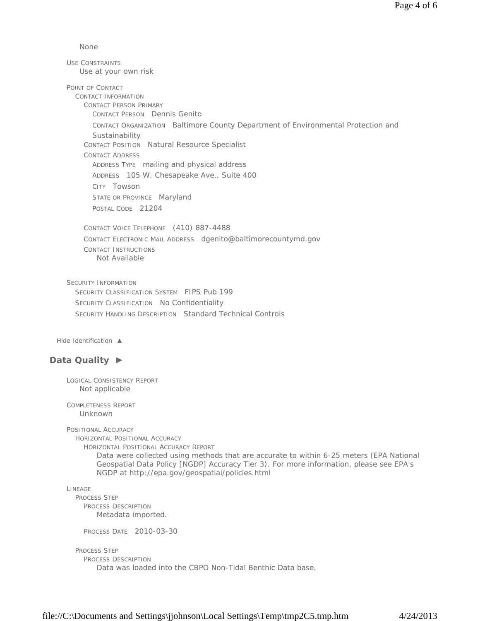None

USE CONSTRAINTS POINT OF CONTACT CONTACT INFORMATION CONTACT PERSON PRIMARY CONTACT PERSON Dennis Genito CONTACT ORGANIZATION Baltimore County Department of Environmental Protection and **Sustainability** CONTACT POSITION Natural Resource Specialist CONTACT ADDRESS ADDRESS TYPE mailing and physical address ADDRESS 105 W. Chesapeake Ave., Suite 400 CITY Towson STATE OR PROVINCE Maryland POSTAL CODE 21204 CONTACT VOICE TELEPHONE (410) 887-4488 CONTACT ELECTRONIC MAIL ADDRESS dgenito@baltimorecountymd.gov CONTACT INSTRUCTIONS SECURITY INFORMATION SECURITY CLASSIFICATION SYSTEM FIPS Pub 199 SECURITY CLASSIFICATION No Confidentiality SECURITY HANDLING DESCRIPTION Standard Technical Controls Use at your own risk Not Available

*Hide Identification ▲*

# **Data Quality ►**

LOGICAL CONSISTENCY REPORT Not applicable

COMPLETENESS REPORT Unknown

POSITIONAL ACCURACY HORIZONTAL POSITIONAL ACCURACY HORIZONTAL POSITIONAL ACCURACY REPORT Data were collected using methods that are accurate to within 6-25 meters (EPA National Geospatial Data Policy [NGDP] Accuracy Tier 3). For more information, please see EPA's NGDP at http://epa.gov/geospatial/policies.html

LINEAGE

PROCESS STEP PROCESS DESCRIPTION Metadata imported.

PROCESS DATE 2010-03-30

PROCESS STEP

PROCESS DESCRIPTION

Data was loaded into the CBPO Non-Tidal Benthic Data base.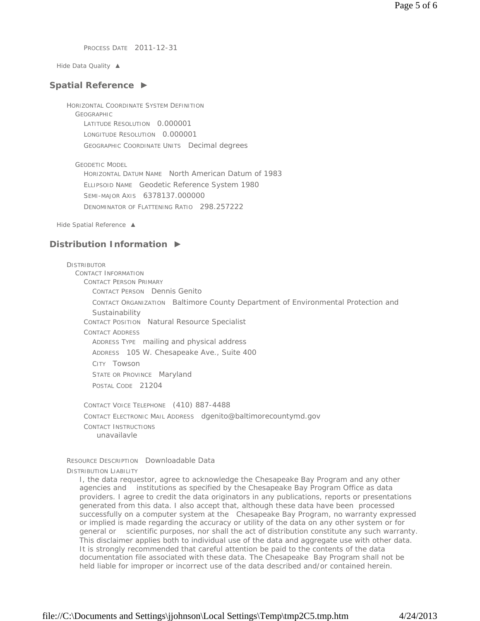PROCESS DATE 2011-12-31

*Hide Data Quality ▲*

#### **Spatial Reference ►**

HORIZONTAL COORDINATE SYSTEM DEFINITION GEOGRAPHIC LATITUDE RESOLUTION 0.000001 LONGITUDE RESOLUTION 0.000001 GEOGRAPHIC COORDINATE UNITS Decimal degrees

GEODETIC MODEL HORIZONTAL DATUM NAME North American Datum of 1983 ELLIPSOID NAME Geodetic Reference System 1980 SEMI-MAJOR AXIS 6378137.000000 DENOMINATOR OF FLATTENING RATIO 298.257222

*Hide Spatial Reference ▲*

### **Distribution Information ►**

**DISTRIBUTOR** CONTACT INFORMATION CONTACT PERSON PRIMARY CONTACT PERSON Dennis Genito CONTACT ORGANIZATION Baltimore County Department of Environmental Protection and **Sustainability** CONTACT POSITION Natural Resource Specialist CONTACT ADDRESS ADDRESS TYPE mailing and physical address ADDRESS 105 W. Chesapeake Ave., Suite 400 CITY Towson STATE OR PROVINCE Maryland POSTAL CODE 21204

CONTACT VOICE TELEPHONE (410) 887-4488 CONTACT ELECTRONIC MAIL ADDRESS dgenito@baltimorecountymd.gov CONTACT INSTRUCTIONS unavailavle

RESOURCE DESCRIPTION Downloadable Data

DISTRIBUTION LIABILITY

I, the data requestor, agree to acknowledge the Chesapeake Bay Program and any other agencies and institutions as specified by the Chesapeake Bay Program Office as data providers. I agree to credit the data originators in any publications, reports or presentations generated from this data. I also accept that, although these data have been processed successfully on a computer system at the Chesapeake Bay Program, no warranty expressed or implied is made regarding the accuracy or utility of the data on any other system or for general or scientific purposes, nor shall the act of distribution constitute any such warranty. This disclaimer applies both to individual use of the data and aggregate use with other data. It is strongly recommended that careful attention be paid to the contents of the data documentation file associated with these data. The Chesapeake Bay Program shall not be held liable for improper or incorrect use of the data described and/or contained herein.